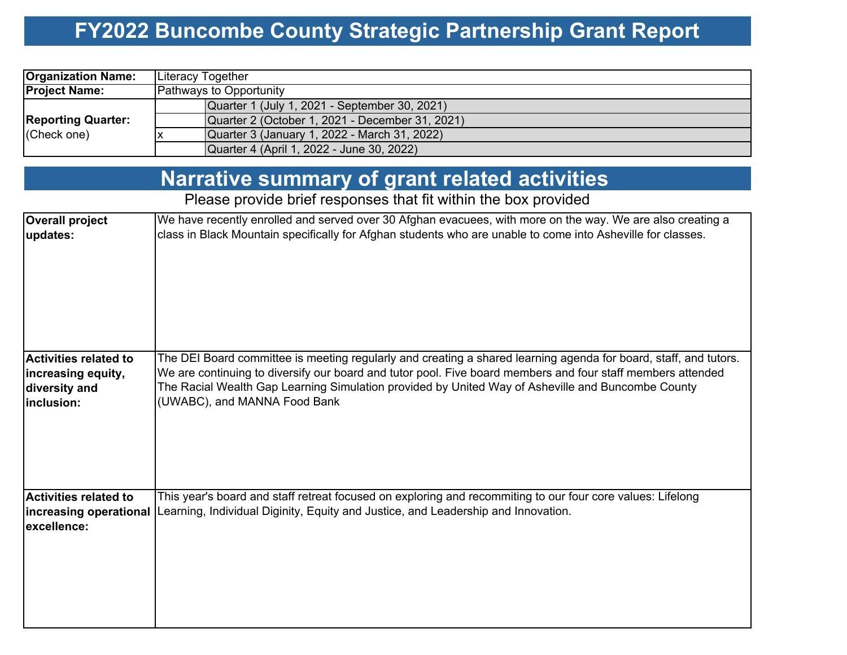## **FY2022 Buncombe County Strategic Partnership Grant Report**

| <b>Organization Name:</b> | Literacy Together                               |  |  |  |  |  |  |  |
|---------------------------|-------------------------------------------------|--|--|--|--|--|--|--|
| <b>Project Name:</b>      | Pathways to Opportunity                         |  |  |  |  |  |  |  |
|                           | Quarter 1 (July 1, 2021 - September 30, 2021)   |  |  |  |  |  |  |  |
| <b>Reporting Quarter:</b> | Quarter 2 (October 1, 2021 - December 31, 2021) |  |  |  |  |  |  |  |
| (Check one)               | Quarter 3 (January 1, 2022 - March 31, 2022)    |  |  |  |  |  |  |  |
|                           | Quarter 4 (April 1, 2022 - June 30, 2022)       |  |  |  |  |  |  |  |

### **Narrative summary of grant related activities**

Please provide brief responses that fit within the box provided

| <b>Overall project</b> | We have recently enrolled and served over 30 Afghan evacuees, with more on the way. We are also creating a       |
|------------------------|------------------------------------------------------------------------------------------------------------------|
| updates:               | class in Black Mountain specifically for Afghan students who are unable to come into Asheville for classes.      |
| Activities related to  | The DEI Board committee is meeting regularly and creating a shared learning agenda for board, staff, and tutors. |
| increasing equity,     | We are continuing to diversify our board and tutor pool. Five board members and four staff members attended      |
| diversity and          | The Racial Wealth Gap Learning Simulation provided by United Way of Asheville and Buncombe County                |
| inclusion:             | (UWABC), and MANNA Food Bank                                                                                     |
| Activities related to  | This year's board and staff retreat focused on exploring and recommiting to our four core values: Lifelong       |
| lexcellence:           | Increasing operational Learning, Individual Diginity, Equity and Justice, and Leadership and Innovation.         |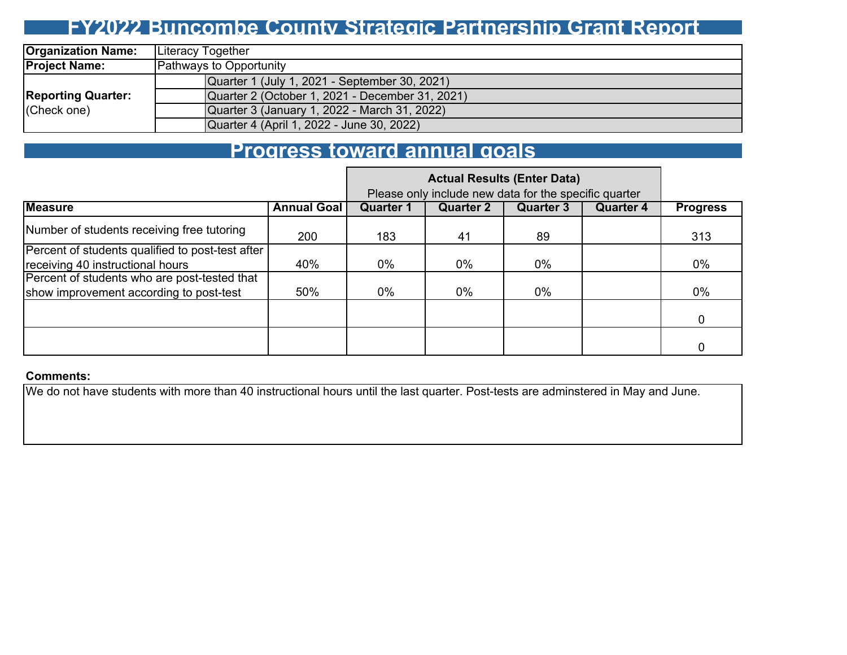### **FY2022 Buncombe County Strategic Partnership Grant Report**

| <b>Organization Name:</b>                | Literacy Together                               |  |  |  |  |  |  |  |
|------------------------------------------|-------------------------------------------------|--|--|--|--|--|--|--|
| <b>Project Name:</b>                     | Pathways to Opportunity                         |  |  |  |  |  |  |  |
| <b>Reporting Quarter:</b><br>(Check one) | Quarter 1 (July 1, 2021 - September 30, 2021)   |  |  |  |  |  |  |  |
|                                          | Quarter 2 (October 1, 2021 - December 31, 2021) |  |  |  |  |  |  |  |
|                                          | Quarter 3 (January 1, 2022 - March 31, 2022)    |  |  |  |  |  |  |  |
|                                          | Quarter 4 (April 1, 2022 - June 30, 2022)       |  |  |  |  |  |  |  |

### **Progress toward annual goals**

|                                                                                         | Please only include new data for the specific quarter |                  |                  |                  |                  |                 |
|-----------------------------------------------------------------------------------------|-------------------------------------------------------|------------------|------------------|------------------|------------------|-----------------|
| <b>Measure</b>                                                                          | <b>Annual Goal</b>                                    | <b>Quarter 1</b> | <b>Quarter 2</b> | <b>Quarter 3</b> | <b>Quarter 4</b> | <b>Progress</b> |
| Number of students receiving free tutoring                                              | 200                                                   | 183              | 41               | 89               |                  | 313             |
| Percent of students qualified to post-test after<br>receiving 40 instructional hours    | 40%                                                   | 0%               | 0%               | 0%               |                  | $0\%$           |
| Percent of students who are post-tested that<br>show improvement according to post-test | 50%                                                   | $0\%$            | $0\%$            | $0\%$            |                  | $0\%$           |
|                                                                                         |                                                       |                  |                  |                  |                  |                 |
|                                                                                         |                                                       |                  |                  |                  |                  |                 |

#### **Comments:**

We do not have students with more than 40 instructional hours until the last quarter. Post-tests are adminstered in May and June.